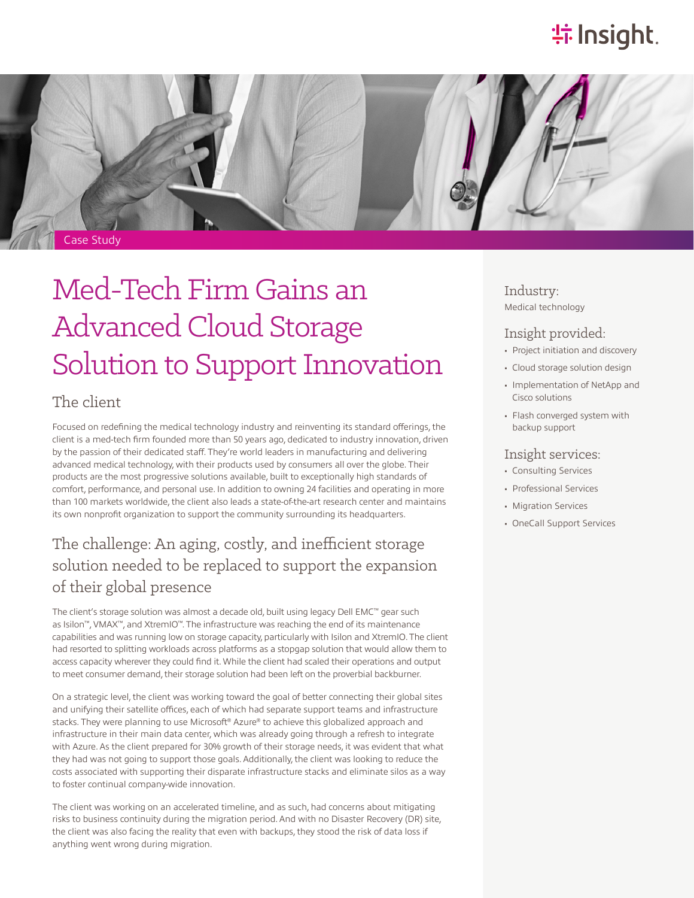# **特Insight**.



# Med-Tech Firm Gains an Advanced Cloud Storage Solution to Support Innovation

### The client

Focused on redefining the medical technology industry and reinventing its standard offerings, the client is a med-tech firm founded more than 50 years ago, dedicated to industry innovation, driven by the passion of their dedicated staff. They're world leaders in manufacturing and delivering advanced medical technology, with their products used by consumers all over the globe. Their products are the most progressive solutions available, built to exceptionally high standards of comfort, performance, and personal use. In addition to owning 24 facilities and operating in more than 100 markets worldwide, the client also leads a state-of-the-art research center and maintains its own nonprofit organization to support the community surrounding its headquarters.

## The challenge: An aging, costly, and inefficient storage solution needed to be replaced to support the expansion of their global presence

The client's storage solution was almost a decade old, built using legacy Dell EMC™ gear such as Isilon™, VMAX™, and XtremIO™. The infrastructure was reaching the end of its maintenance capabilities and was running low on storage capacity, particularly with Isilon and XtremIO. The client had resorted to splitting workloads across platforms as a stopgap solution that would allow them to access capacity wherever they could find it. While the client had scaled their operations and output to meet consumer demand, their storage solution had been left on the proverbial backburner.

On a strategic level, the client was working toward the goal of better connecting their global sites and unifying their satellite offices, each of which had separate support teams and infrastructure stacks. They were planning to use Microsoft® Azure® to achieve this globalized approach and infrastructure in their main data center, which was already going through a refresh to integrate with Azure. As the client prepared for 30% growth of their storage needs, it was evident that what they had was not going to support those goals. Additionally, the client was looking to reduce the costs associated with supporting their disparate infrastructure stacks and eliminate silos as a way to foster continual company-wide innovation.

The client was working on an accelerated timeline, and as such, had concerns about mitigating risks to business continuity during the migration period. And with no Disaster Recovery (DR) site, the client was also facing the reality that even with backups, they stood the risk of data loss if anything went wrong during migration.

Industry: Medical technology

### Insight provided:

- Project initiation and discovery
- Cloud storage solution design
- Implementation of NetApp and Cisco solutions
- Flash converged system with backup support

#### Insight services:

- Consulting Services
- Professional Services
- Migration Services
- OneCall Support Services